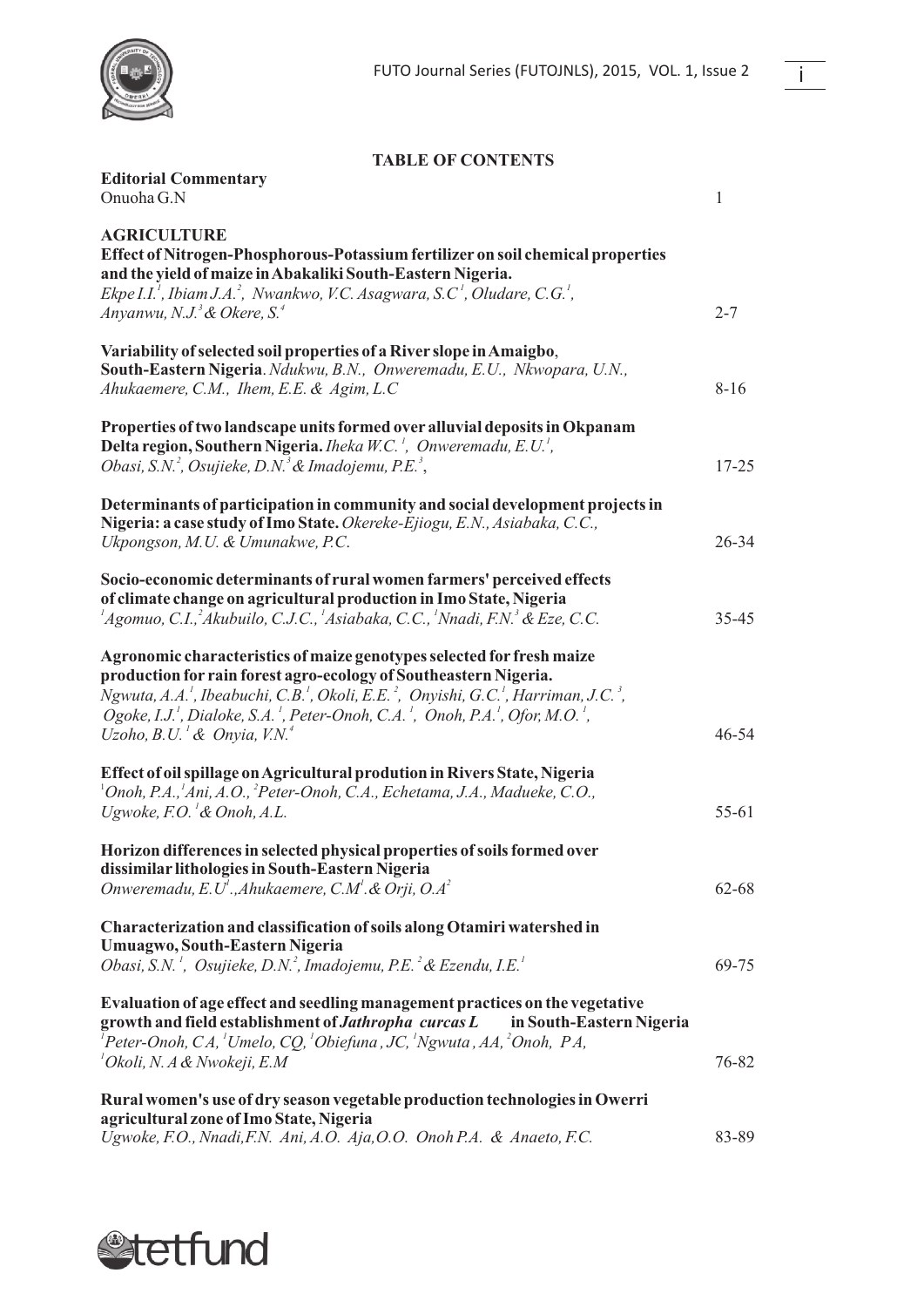

**Editorial Commentary**

## **TABLE OF CONTENTS**

| Onuoha G.N                                                                                                                                                                                                                                                                                                                                                                                                                                                                                          | 1         |
|-----------------------------------------------------------------------------------------------------------------------------------------------------------------------------------------------------------------------------------------------------------------------------------------------------------------------------------------------------------------------------------------------------------------------------------------------------------------------------------------------------|-----------|
| <b>AGRICULTURE</b><br>Effect of Nitrogen-Phosphorous-Potassium fertilizer on soil chemical properties<br>and the yield of maize in Abakaliki South-Eastern Nigeria.<br>Ekpe I.I. <sup>1</sup> , Ibiam J.A. <sup>2</sup> , Nwankwo, V.C. Asagwara, S.C <sup>1</sup> , Oludare, C.G. <sup>1</sup> ,<br>Anyanwu, N.J. <sup>3</sup> & Okere, S. <sup>4</sup>                                                                                                                                            | $2 - 7$   |
| Variability of selected soil properties of a River slope in Amaigbo,<br>South-Eastern Nigeria. Ndukwu, B.N., Onweremadu, E.U., Nkwopara, U.N.,<br>Ahukaemere, C.M., Ihem, E.E. & Agim, L.C                                                                                                                                                                                                                                                                                                          | $8 - 16$  |
| Properties of two landscape units formed over alluvial deposits in Okpanam<br>Delta region, Southern Nigeria. <i>Iheka W.C.<sup>1</sup>, Onweremadu, E.U.<sup>1</sup></i> ,<br>Obasi, S.N. <sup>2</sup> , Osujieke, D.N. <sup>3</sup> & Imadojemu, P.E. <sup>3</sup> ,                                                                                                                                                                                                                              | $17 - 25$ |
| Determinants of participation in community and social development projects in<br>Nigeria: a case study of Imo State. Okereke-Ejiogu, E.N., Asiabaka, C.C.,<br>Ukpongson, M.U. & Umunakwe, P.C.                                                                                                                                                                                                                                                                                                      | $26 - 34$ |
| Socio-economic determinants of rural women farmers' perceived effects<br>of climate change on agricultural production in Imo State, Nigeria<br>${}^{1}$ Agomuo, C.I., ${}^{2}$ Akubuilo, C.J.C., ${}^{1}$ Asiabaka, C.C., ${}^{1}$ Nnadi, F.N. ${}^{3}$ & Eze, C.C.                                                                                                                                                                                                                                 | $35 - 45$ |
| Agronomic characteristics of maize genotypes selected for fresh maize<br>production for rain forest agro-ecology of Southeastern Nigeria.<br>Ngwuta, A.A. <sup>1</sup> , Ibeabuchi, C.B. <sup>1</sup> , Okoli, E.E. <sup>2</sup> , Onyishi, G.C. <sup>1</sup> , Harriman, J.C. <sup>3</sup> ,<br>Ogoke, I.J. <sup>1</sup> , Dialoke, S.A. <sup>1</sup> , Peter-Onoh, C.A. <sup>1</sup> , Onoh, P.A. <sup>1</sup> , Ofor, M.O. <sup>1</sup> ,<br>Uzoho, B.U. <sup>1</sup> & Onyia, V.N. <sup>4</sup> | $46 - 54$ |
| Effect of oil spillage on Agricultural prodution in Rivers State, Nigeria<br>$^1$ Onoh, P.A., $^1$ Ani, A.O., $^2$ Peter-Onoh, C.A., Echetama, J.A., Madueke, C.O.,<br>Ugwoke, F.O. ${}^{1}\mathcal{L}$ Onoh, A.L.                                                                                                                                                                                                                                                                                  | $55-61$   |
| Horizon differences in selected physical properties of soils formed over<br>dissimilar lithologies in South-Eastern Nigeria<br>Onweremadu, E.U <sup>t</sup> ., Ahukaemere, C.M <sup>t</sup> . & Orji, O.A <sup>2</sup>                                                                                                                                                                                                                                                                              | 62-68     |
| Characterization and classification of soils along Otamiri watershed in<br>Umuagwo, South-Eastern Nigeria<br>Obasi, S.N. <sup>1</sup> , Osujieke, D.N. <sup>2</sup> , Imadojemu, P.E. <sup>2</sup> & Ezendu, I.E. <sup>1</sup>                                                                                                                                                                                                                                                                      | 69-75     |
| Evaluation of age effect and seedling management practices on the vegetative<br>growth and field establishment of Jathropha curcas L<br>in South-Eastern Nigeria<br>$P$ eter-Onoh, CA, <sup>1</sup> Umelo, CQ, <sup>1</sup> Obiefuna, JC, <sup>1</sup> Ngwuta, AA, <sup>2</sup> Onoh, PA,<br>$^{1}$ Okoli, N. A & Nwokeji, E.M                                                                                                                                                                      | 76-82     |
| Rural women's use of dry season vegetable production technologies in Owerri<br>agricultural zone of Imo State, Nigeria<br>Ugwoke, F.O., Nnadi, F.N. Ani, A.O. Aja, O.O. Onoh P.A. & Anaeto, F.C.                                                                                                                                                                                                                                                                                                    | 83-89     |

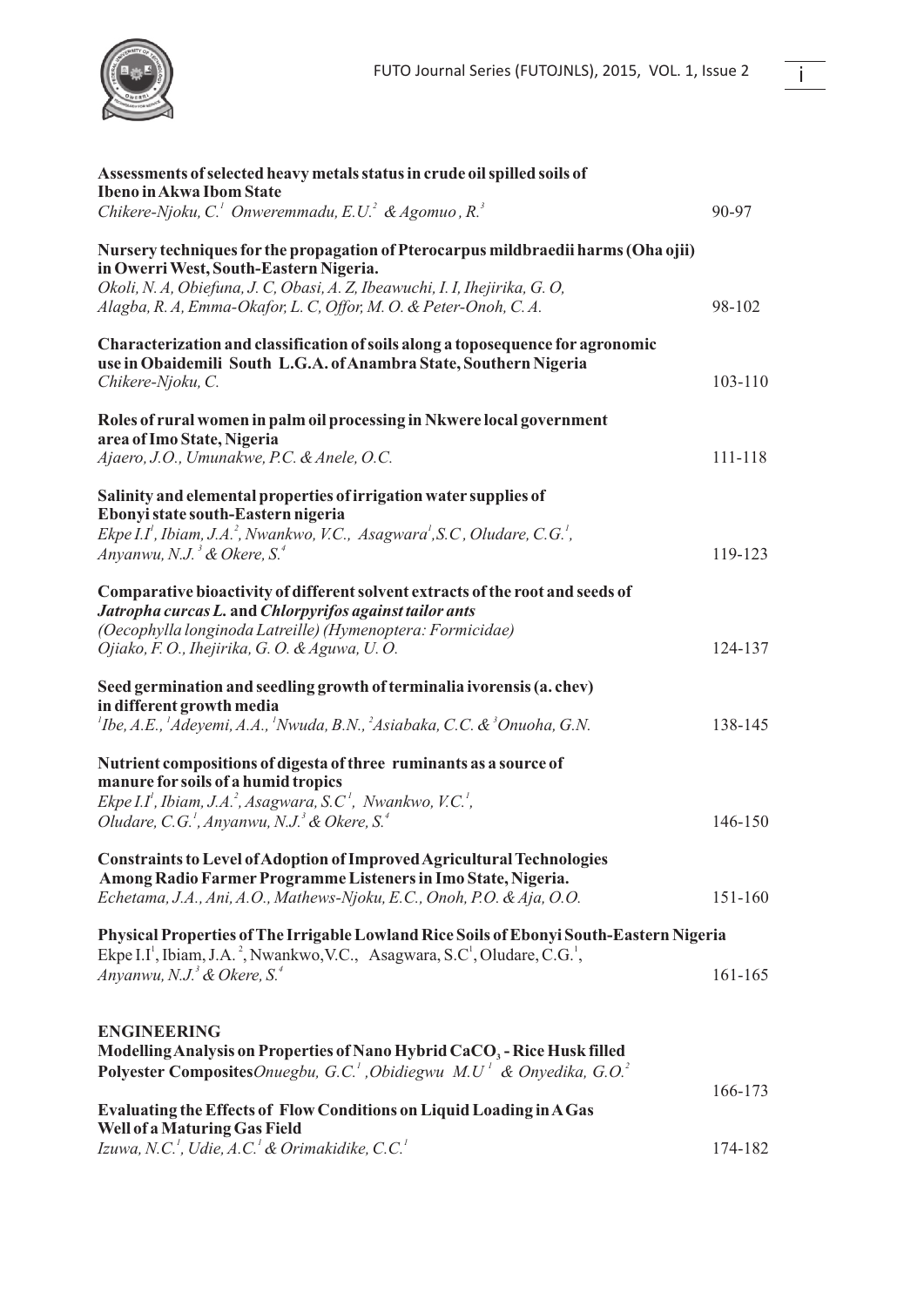

| Assessments of selected heavy metals status in crude oil spilled soils of<br><b>Ibeno in Akwa Ibom State</b>                                                                                                           |         |
|------------------------------------------------------------------------------------------------------------------------------------------------------------------------------------------------------------------------|---------|
| Chikere-Njoku, C. <sup>1</sup> Onweremmadu, E.U. <sup>2</sup> & Agomuo, R. <sup>3</sup>                                                                                                                                | 90-97   |
| Nursery techniques for the propagation of Pterocarpus mildbraedii harms (Oha ojii)<br>in Owerri West, South-Eastern Nigeria.                                                                                           |         |
| Okoli, N. A, Obiefuna, J. C, Obasi, A. Z, Ibeawuchi, I. I, Ihejirika, G. O,                                                                                                                                            |         |
| Alagba, R. A, Emma-Okafor, L. C, Offor, M. O. & Peter-Onoh, C. A.                                                                                                                                                      | 98-102  |
| Characterization and classification of soils along a toposequence for agronomic<br>use in Obaidemili South L.G.A. of Anambra State, Southern Nigeria                                                                   |         |
| Chikere-Njoku, C.                                                                                                                                                                                                      | 103-110 |
| Roles of rural women in palm oil processing in Nkwere local government<br>area of Imo State, Nigeria                                                                                                                   |         |
| Ajaero, J.O., Umunakwe, P.C. & Anele, O.C.                                                                                                                                                                             | 111-118 |
| Salinity and elemental properties of irrigation water supplies of<br>Ebonyi state south-Eastern nigeria                                                                                                                |         |
| Ekpe I.I <sup>1</sup> , Ibiam, J.A. <sup>2</sup> , Nwankwo, V.C., Asagwara <sup>1</sup> , S.C., Oludare, C.G. <sup>1</sup> ,                                                                                           |         |
| Anyanwu, N.J. <sup>3</sup> & Okere, S. <sup>4</sup>                                                                                                                                                                    | 119-123 |
| Comparative bioactivity of different solvent extracts of the root and seeds of<br>Jatropha curcas L. and Chlorpyrifos against tailor ants                                                                              |         |
| (Oecophylla longinoda Latreille) (Hymenoptera: Formicidae)<br>Ojiako, F. O., Ihejirika, G. O. & Aguwa, U. O.                                                                                                           | 124-137 |
|                                                                                                                                                                                                                        |         |
| Seed germination and seedling growth of terminalia ivorensis (a. chev)<br>in different growth media                                                                                                                    |         |
| ${}^{1}$ Ibe, A.E., ${}^{1}$ Adeyemi, A.A., ${}^{1}$ Nwuda, B.N., ${}^{2}$ Asiabaka, C.C. & ${}^{3}$ Onuoha, G.N.                                                                                                      | 138-145 |
| Nutrient compositions of digesta of three ruminants as a source of<br>manure for soils of a humid tropics                                                                                                              |         |
| Ekpe I.I <sup>1</sup> , Ibiam, J.A. <sup>2</sup> , Asagwara, S.C <sup>1</sup> , Nwankwo, V.C. <sup>1</sup> ,                                                                                                           |         |
| Oludare, C.G. <sup>1</sup> , Anyanwu, N.J. <sup>3</sup> & Okere, S. <sup>4</sup>                                                                                                                                       | 146-150 |
| Constraints to Level of Adoption of Improved Agricultural Technologies<br>Among Radio Farmer Programme Listeners in Imo State, Nigeria.                                                                                |         |
| Echetama, J.A., Ani, A.O., Mathews-Njoku, E.C., Onoh, P.O. & Aja, O.O.                                                                                                                                                 | 151-160 |
| Physical Properties of The Irrigable Lowland Rice Soils of Ebonyi South-Eastern Nigeria<br>Ekpe I.I <sup>1</sup> , Ibiam, J.A. <sup>2</sup> , Nwankwo, V.C., Asagwara, S.C <sup>1</sup> , Oludare, C.G. <sup>1</sup> , |         |
| Anyanwu, N.J. <sup>3</sup> & Okere, S. <sup>4</sup>                                                                                                                                                                    | 161-165 |
| <b>ENGINEERING</b>                                                                                                                                                                                                     |         |
| Modelling Analysis on Properties of Nano Hybrid CaCO <sub>3</sub> - Rice Husk filled                                                                                                                                   |         |
| <b>Polyester Composites</b> Onuegbu, G.C. <sup>1</sup> , Obidiegwu M.U <sup>1</sup> & Onyedika, G.O. <sup>2</sup>                                                                                                      |         |
|                                                                                                                                                                                                                        | 166-173 |

| Evaluating the Effects of Flow Conditions on Liquid Loading in A Gas                |         |
|-------------------------------------------------------------------------------------|---------|
| Well of a Maturing Gas Field                                                        |         |
| Izuwa, N.C. <sup>1</sup> , Udie, A.C. <sup>1</sup> & Orimakidike, C.C. <sup>1</sup> | 174-182 |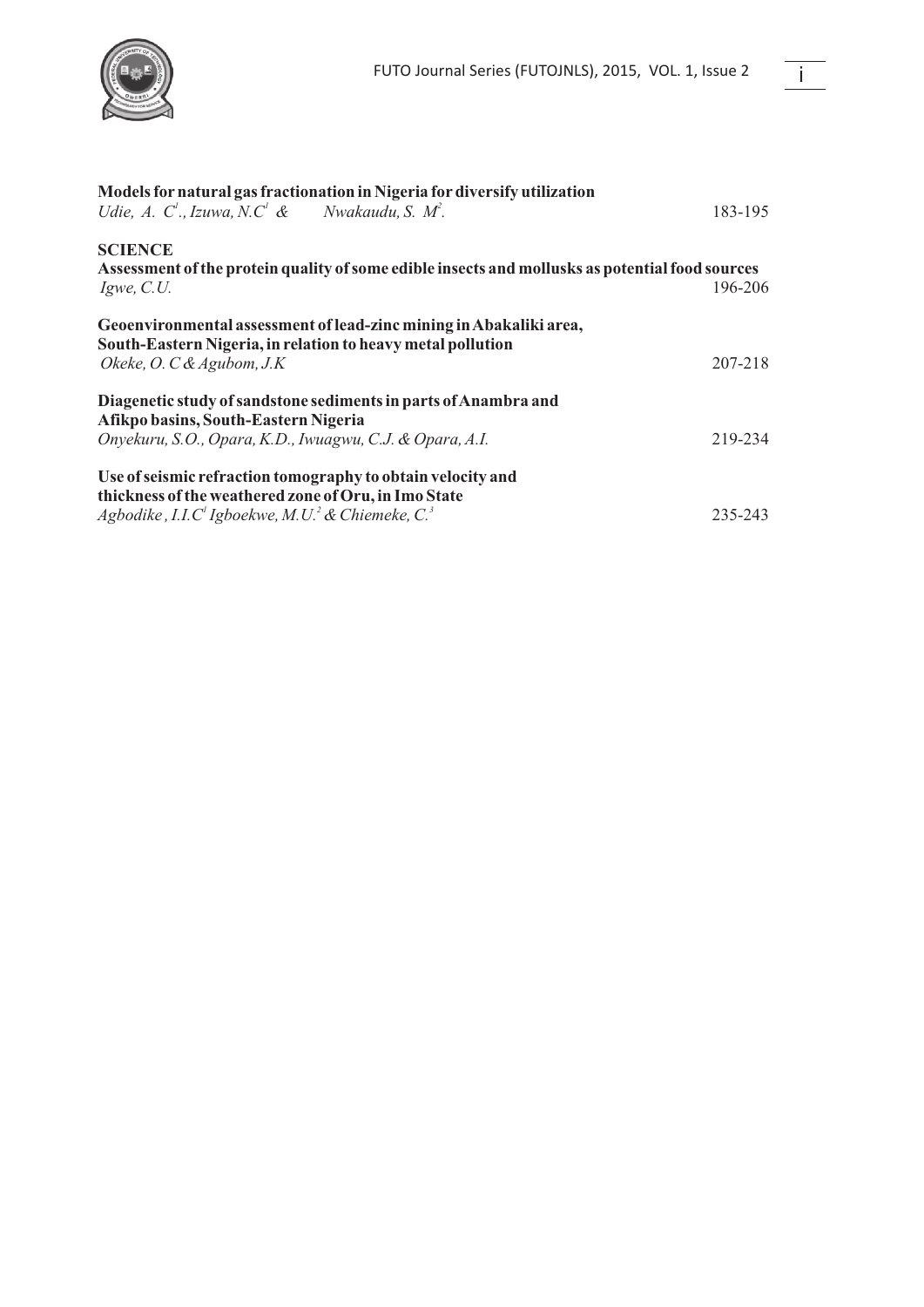

| Models for natural gas fractionation in Nigeria for diversify utilization                                                                                        |         |
|------------------------------------------------------------------------------------------------------------------------------------------------------------------|---------|
| Udie, A. C <sup>'</sup> ., Izuwa, N.C <sup>'</sup> & Nwakaudu, S. M <sup>2</sup> .                                                                               | 183-195 |
| <b>SCIENCE</b>                                                                                                                                                   |         |
| Assessment of the protein quality of some edible insects and mollusks as potential food sources<br>$I$ gwe, $C.U$ .                                              | 196-206 |
| Geoenvironmental assessment of lead-zinc mining in Abakaliki area,<br>South-Eastern Nigeria, in relation to heavy metal pollution<br>Okeke, O. C & Agubom, $J.K$ | 207-218 |
| Diagenetic study of sandstone sediments in parts of Anambra and<br>Afikpo basins, South-Eastern Nigeria                                                          |         |
| Onyekuru, S.O., Opara, K.D., Iwuagwu, C.J. & Opara, A.I.                                                                                                         | 219-234 |
| Use of seismic refraction tomography to obtain velocity and<br>thickness of the weathered zone of Oru, in Imo State                                              |         |
| Agbodike , I.I.C' Igboekwe, M.U. <sup>2</sup> & Chiemeke, C. <sup>3</sup>                                                                                        | 235-243 |